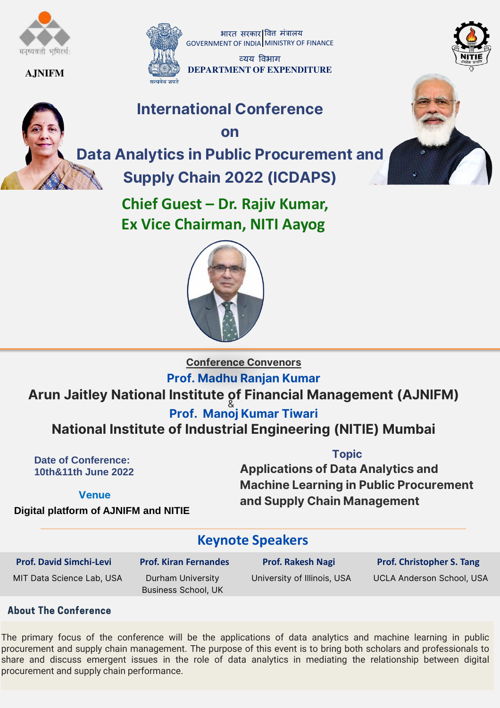

#### AJNIFM



भारत सरकार वित्त मंत्रालय GOVERNMENT OF INDIA MINISTRY OF FINANCE

व्यय विभाग DEPARTMENT OF **EXPENDITURE**

## International Conference

on



Data Analytics in Public Procurement and Supply Chain 2022 (ICDAPS)

> **Chief Guest – Dr. Rajiv Kumar, Ex Vice Chairman, NITI Aayog**





Conference Convenors

#### Prof. Madhu Ranjan Kumar

### Arun Jaitley National Institute of Financial Management (AJNIFM)

& Prof. Manoj Kumar Tiwari

National Institute of Industrial Engineering (NITIE) Mumbai

**Date of Conference: 10th&11th June 2022** 

#### Topic

Applications of Data Analytics and Machine Learning in Public Procurement and Supply Chain Management

Venue

**Digital platform of AJNIFM and NITIE** 

### **Keynote Speakers**

**Prof. David Simchi-Levi** MIT Data Science Lab, USA **Prof. Kiran Fernandes** Durham University Business School, UK

**Prof. Rakesh Nagi**

**Prof. Christopher S. Tang** University of Illinois, USA UCLA Anderson School, USA

#### **About The Conference**

The primary focus of the conference will be the applications of data analytics and machine learning in public procurement and supply chain management. The purpose of this event is to bring both scholars and professionals to share and discuss emergent issues in the role of data analytics in mediating the relationship between digital procurement and supply chain performance.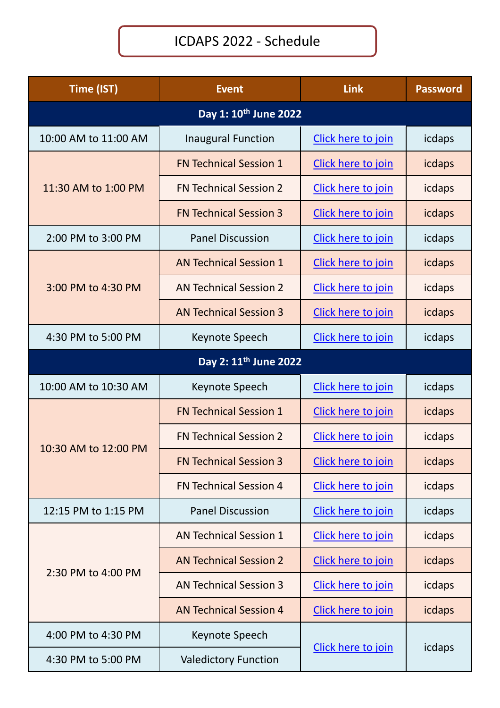## ICDAPS 2022 - Schedule

| Time (IST)                        | <b>Event</b>                  | Link                         | <b>Password</b> |
|-----------------------------------|-------------------------------|------------------------------|-----------------|
|                                   |                               |                              |                 |
| 10:00 AM to 11:00 AM              | <b>Inaugural Function</b>     | Click here to join           | icdaps          |
|                                   | <b>FN Technical Session 1</b> | Click here to join           | icdaps          |
| 11:30 AM to 1:00 PM               | <b>FN Technical Session 2</b> | Click here to join           | icdaps          |
|                                   | <b>FN Technical Session 3</b> | Click here to join           | icdaps          |
| 2:00 PM to 3:00 PM                | <b>Panel Discussion</b>       | Click here to join           | icdaps          |
|                                   | <b>AN Technical Session 1</b> | Click here to join           | icdaps          |
| 3:00 PM to 4:30 PM                | <b>AN Technical Session 2</b> | Click here to join           | icdaps          |
|                                   | <b>AN Technical Session 3</b> | Click here to join           | icdaps          |
| 4:30 PM to 5:00 PM                | Keynote Speech                | Click here to join           | icdaps          |
| Day 2: 11 <sup>th</sup> June 2022 |                               |                              |                 |
| 10:00 AM to 10:30 AM              | Keynote Speech                | Click here to join           | icdaps          |
|                                   | <b>FN Technical Session 1</b> | Click here to join           | icdaps          |
|                                   | <b>FN Technical Session 2</b> | Click here to join           | icdaps          |
| 10:30 AM to 12:00 PM              | <b>FN Technical Session 3</b> | Click here to join           | icdaps          |
|                                   | <b>FN Technical Session 4</b> | Click here to join           | icdaps          |
| 12:15 PM to 1:15 PM               | <b>Panel Discussion</b>       | Click here to join           | icdaps          |
|                                   | <b>AN Technical Session 1</b> | Click here to join           | icdaps          |
| 2:30 PM to 4:00 PM                | <b>AN Technical Session 2</b> | Click here to join           | icdaps          |
|                                   | <b>AN Technical Session 3</b> | Click here to join           | icdaps          |
|                                   | <b>AN Technical Session 4</b> | Click here to join           | icdaps          |
| 4:00 PM to 4:30 PM                | Keynote Speech                |                              |                 |
| 4:30 PM to 5:00 PM                | <b>Valedictory Function</b>   | Click here to join<br>icdaps |                 |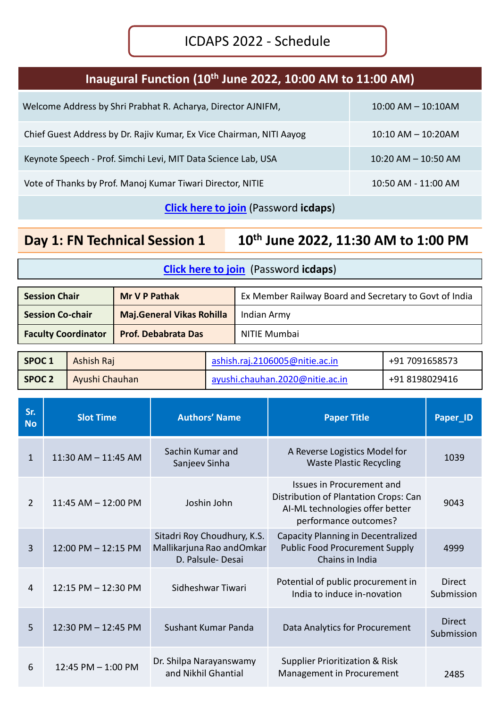### **Inaugural Function (10th June 2022, 10:00 AM to 11:00 AM)**

| Welcome Address by Shri Prabhat R. Acharya, Director AJNIFM,         | $10:00$ AM $- 10:10$ AM |
|----------------------------------------------------------------------|-------------------------|
| Chief Guest Address by Dr. Rajiv Kumar, Ex Vice Chairman, NITI Aayog | $10:10$ AM $- 10:20$ AM |
| Keynote Speech - Prof. Simchi Levi, MIT Data Science Lab, USA        | $10:20$ AM $-$ 10:50 AM |
| Vote of Thanks by Prof. Manoj Kumar Tiwari Director, NITIE           | 10:50 AM - 11:00 AM     |

**[Click here to join](https://nitie.webex.com/nitie/onstage/g.php?MTID=ec4ace1a86cf731ecbdac03d60925a7b6)** (Password **icdaps**)

**Day 1: FN Technical Session 1 10th June 2022, 11:30 AM to 1:00 PM**

| <b>Session Chair</b>       | <b>Mr V P Pathak</b>             | Ex Member Railway Board and Secretary to Govt of India |
|----------------------------|----------------------------------|--------------------------------------------------------|
| <b>Session Co-chair</b>    | <b>Maj.General Vikas Rohilla</b> | Indian Army                                            |
| <b>Faculty Coordinator</b> | <b>Prof. Debabrata Das</b>       | NITIE Mumbai                                           |

| SPOC <sub>1</sub> | Ashish Raj     | ashish.raj.2106005@nitie.ac.in  | +91 7091658573 |
|-------------------|----------------|---------------------------------|----------------|
| SPOC <sub>2</sub> | Ayushi Chauhan | ayushi.chauhan.2020@nitie.ac.in | +91 8198029416 |

| Sr.<br><b>No</b> | <b>Slot Time</b>        | <b>Authors' Name</b>                                                         | <b>Paper Title</b>                                                                                                             | Paper_ID                    |
|------------------|-------------------------|------------------------------------------------------------------------------|--------------------------------------------------------------------------------------------------------------------------------|-----------------------------|
| $\mathbf{1}$     | 11:30 AM - 11:45 AM     | Sachin Kumar and<br>Sanjeev Sinha                                            | A Reverse Logistics Model for<br><b>Waste Plastic Recycling</b>                                                                | 1039                        |
| $\overline{2}$   | $11:45$ AM $- 12:00$ PM | Joshin John                                                                  | Issues in Procurement and<br>Distribution of Plantation Crops: Can<br>AI-ML technologies offer better<br>performance outcomes? | 9043                        |
| 3                | 12:00 PM - 12:15 PM     | Sitadri Roy Choudhury, K.S.<br>Mallikarjuna Rao andOmkar<br>D. Palsule-Desai | Capacity Planning in Decentralized<br><b>Public Food Procurement Supply</b><br>Chains in India                                 | 4999                        |
| $\overline{4}$   | 12:15 PM - 12:30 PM     | Sidheshwar Tiwari                                                            | Potential of public procurement in<br>India to induce in-novation                                                              | Direct<br>Submission        |
| 5                | 12:30 PM - 12:45 PM     | Sushant Kumar Panda                                                          | Data Analytics for Procurement                                                                                                 | <b>Direct</b><br>Submission |
| 6                | 12:45 PM $-$ 1:00 PM    | Dr. Shilpa Narayanswamy<br>and Nikhil Ghantial                               | <b>Supplier Prioritization &amp; Risk</b><br>Management in Procurement                                                         | 2485                        |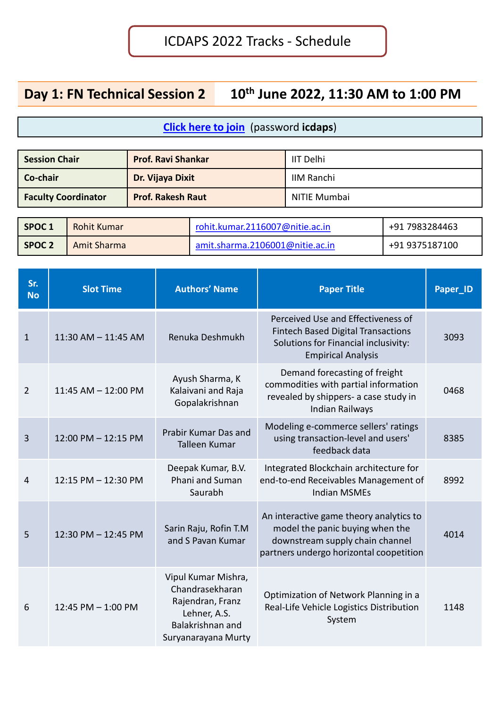## **Day 1: FN Technical Session 2 10th June 2022, 11:30 AM to 1:00 PM**

| <b>Session Chair</b>       | <b>Prof. Ravi Shankar</b> | IIT Delhi    |
|----------------------------|---------------------------|--------------|
| Co-chair                   | Dr. Vijaya Dixit          | IIM Ranchi   |
| <b>Faculty Coordinator</b> | <b>Prof. Rakesh Raut</b>  | NITIE Mumbai |

| SPOC <sub>1</sub> | Rohit Kumar        | rohit.kumar.2116007@nitie.ac.in | +91 7983284463 |
|-------------------|--------------------|---------------------------------|----------------|
| SPOC <sub>2</sub> | <b>Amit Sharma</b> | amit.sharma.2106001@nitie.ac.in | +91 9375187100 |

| Sr.<br><b>No</b> | <b>Slot Time</b>        | <b>Authors' Name</b>                                                                                                  | <b>Paper Title</b>                                                                                                                                       | Paper_ID |
|------------------|-------------------------|-----------------------------------------------------------------------------------------------------------------------|----------------------------------------------------------------------------------------------------------------------------------------------------------|----------|
| 1                | $11:30$ AM $- 11:45$ AM | Renuka Deshmukh                                                                                                       | Perceived Use and Effectiveness of<br><b>Fintech Based Digital Transactions</b><br>Solutions for Financial inclusivity:<br><b>Empirical Analysis</b>     | 3093     |
| $\overline{2}$   | $11:45$ AM $- 12:00$ PM | Ayush Sharma, K<br>Kalaivani and Raja<br>Gopalakrishnan                                                               | Demand forecasting of freight<br>commodities with partial information<br>revealed by shippers- a case study in<br><b>Indian Railways</b>                 | 0468     |
| 3                | 12:00 PM - 12:15 PM     | Prabir Kumar Das and<br><b>Talleen Kumar</b>                                                                          | Modeling e-commerce sellers' ratings<br>using transaction-level and users'<br>feedback data                                                              | 8385     |
| 4                | 12:15 PM - 12:30 PM     | Deepak Kumar, B.V.<br>Phani and Suman<br>Saurabh                                                                      | Integrated Blockchain architecture for<br>end-to-end Receivables Management of<br><b>Indian MSMEs</b>                                                    | 8992     |
| 5                | 12:30 PM - 12:45 PM     | Sarin Raju, Rofin T.M<br>and S Pavan Kumar                                                                            | An interactive game theory analytics to<br>model the panic buying when the<br>downstream supply chain channel<br>partners undergo horizontal coopetition | 4014     |
| 6                | 12:45 PM $-$ 1:00 PM    | Vipul Kumar Mishra,<br>Chandrasekharan<br>Rajendran, Franz<br>Lehner, A.S.<br>Balakrishnan and<br>Suryanarayana Murty | Optimization of Network Planning in a<br>Real-Life Vehicle Logistics Distribution<br>System                                                              | 1148     |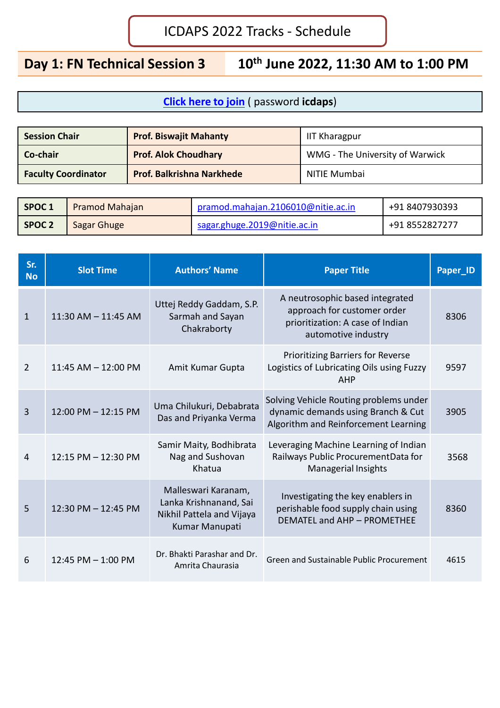**Day 1: FN Technical Session 3 10th June 2022, 11:30 AM to 1:00 PM**

| <b>Session Chair</b>       | <b>Prof. Biswajit Mahanty</b>    | <b>IIT Kharagpur</b>            |
|----------------------------|----------------------------------|---------------------------------|
| Co-chair                   | <b>Prof. Alok Choudhary</b>      | WMG - The University of Warwick |
| <b>Faculty Coordinator</b> | <b>Prof. Balkrishna Narkhede</b> | NITIE Mumbai                    |

| SPOC 1            | <b>Pramod Mahajan</b> | pramod.mahajan.2106010@nitie.ac.in | +91 8407930393 |
|-------------------|-----------------------|------------------------------------|----------------|
| SPOC <sub>2</sub> | Sagar Ghuge           | sagar.ghuge.2019@nitie.ac.in       | +91 8552827277 |

| Sr.<br><b>No</b> | <b>Slot Time</b>       | <b>Authors' Name</b>                                                                         | <b>Paper Title</b>                                                                                                        | Paper_ID |
|------------------|------------------------|----------------------------------------------------------------------------------------------|---------------------------------------------------------------------------------------------------------------------------|----------|
| $\mathbf{1}$     | 11:30 AM - 11:45 AM    | Uttej Reddy Gaddam, S.P.<br>Sarmah and Sayan<br>Chakraborty                                  | A neutrosophic based integrated<br>approach for customer order<br>prioritization: A case of Indian<br>automotive industry | 8306     |
| $\overline{2}$   | $11:45$ AM $-12:00$ PM | Amit Kumar Gupta                                                                             | <b>Prioritizing Barriers for Reverse</b><br>Logistics of Lubricating Oils using Fuzzy<br>AHP                              | 9597     |
| 3                | 12:00 PM - 12:15 PM    | Uma Chilukuri, Debabrata<br>Das and Priyanka Verma                                           | Solving Vehicle Routing problems under<br>dynamic demands using Branch & Cut<br>Algorithm and Reinforcement Learning      | 3905     |
| 4                | 12:15 PM - 12:30 PM    | Samir Maity, Bodhibrata<br>Nag and Sushovan<br>Khatua                                        | Leveraging Machine Learning of Indian<br>Railways Public ProcurementData for<br>Managerial Insights                       | 3568     |
| 5                | 12:30 PM - 12:45 PM    | Malleswari Karanam,<br>Lanka Krishnanand, Sai<br>Nikhil Pattela and Vijaya<br>Kumar Manupati | Investigating the key enablers in<br>perishable food supply chain using<br>DEMATEL and AHP - PROMETHEE                    | 8360     |
| 6                | 12:45 PM $-$ 1:00 PM   | Dr. Bhakti Parashar and Dr.<br>Amrita Chaurasia                                              | Green and Sustainable Public Procurement                                                                                  | 4615     |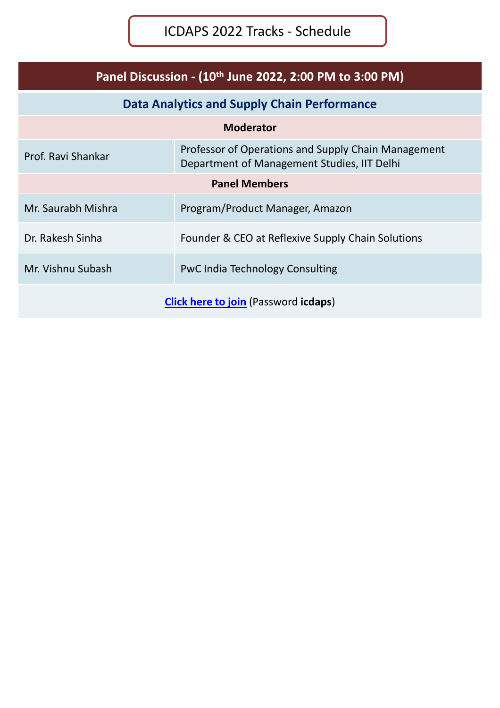| Panel Discussion - (10 <sup>th</sup> June 2022, 2:00 PM to 3:00 PM)   |                                                                                                    |  |
|-----------------------------------------------------------------------|----------------------------------------------------------------------------------------------------|--|
|                                                                       | <b>Data Analytics and Supply Chain Performance</b>                                                 |  |
|                                                                       | <b>Moderator</b>                                                                                   |  |
| Prof. Ravi Shankar                                                    | Professor of Operations and Supply Chain Management<br>Department of Management Studies, IIT Delhi |  |
|                                                                       | <b>Panel Members</b>                                                                               |  |
| Mr. Saurabh Mishra                                                    | Program/Product Manager, Amazon                                                                    |  |
| Dr. Rakesh Sinha<br>Founder & CEO at Reflexive Supply Chain Solutions |                                                                                                    |  |
| Mr. Vishnu Subash<br><b>PwC India Technology Consulting</b>           |                                                                                                    |  |
| <b>Click here to join (Password icdaps)</b>                           |                                                                                                    |  |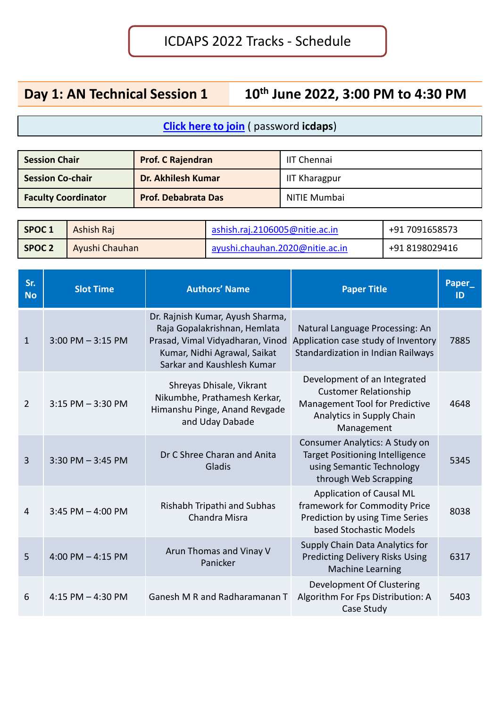# **Day 1: AN Technical Session 1 10th June 2022, 3:00 PM to 4:30 PM**

| <b>Session Chair</b>       | <b>Prof. C Rajendran</b>   | IIT Chennai          |
|----------------------------|----------------------------|----------------------|
| <b>Session Co-chair</b>    | Dr. Akhilesh Kumar         | <b>IIT Kharagpur</b> |
| <b>Faculty Coordinator</b> | <b>Prof. Debabrata Das</b> | NITIE Mumbai         |

| SPOC 1            | <b>Ashish Raj</b> | ashish.raj.2106005@nitie.ac.in  | +91 7091658573 |
|-------------------|-------------------|---------------------------------|----------------|
| SPOC <sub>2</sub> | Ayushi Chauhan    | ayushi.chauhan.2020@nitie.ac.in | +91 8198029416 |

| Sr.<br><b>No</b> | <b>Slot Time</b>      | <b>Authors' Name</b>                                                                                                                                               | <b>Paper Title</b>                                                                                                                        | Paper_<br>ID |
|------------------|-----------------------|--------------------------------------------------------------------------------------------------------------------------------------------------------------------|-------------------------------------------------------------------------------------------------------------------------------------------|--------------|
| $\mathbf{1}$     | $3:00$ PM $-3:15$ PM  | Dr. Rajnish Kumar, Ayush Sharma,<br>Raja Gopalakrishnan, Hemlata<br>Prasad, Vimal Vidyadharan, Vinod<br>Kumar, Nidhi Agrawal, Saikat<br>Sarkar and Kaushlesh Kumar | Natural Language Processing: An<br>Application case study of Inventory<br>Standardization in Indian Railways                              | 7885         |
| 2                | $3:15$ PM $-3:30$ PM  | Shreyas Dhisale, Vikrant<br>Nikumbhe, Prathamesh Kerkar,<br>Himanshu Pinge, Anand Revgade<br>and Uday Dabade                                                       | Development of an Integrated<br><b>Customer Relationship</b><br>Management Tool for Predictive<br>Analytics in Supply Chain<br>Management | 4648         |
| $\overline{3}$   | $3:30$ PM $-3:45$ PM  | Dr C Shree Charan and Anita<br>Gladis                                                                                                                              | Consumer Analytics: A Study on<br><b>Target Positioning Intelligence</b><br>using Semantic Technology<br>through Web Scrapping            | 5345         |
| 4                | $3:45$ PM $-$ 4:00 PM | Rishabh Tripathi and Subhas<br>Chandra Misra                                                                                                                       | <b>Application of Causal ML</b><br>framework for Commodity Price<br>Prediction by using Time Series<br>based Stochastic Models            | 8038         |
| 5                | 4:00 PM $-$ 4:15 PM   | Arun Thomas and Vinay V<br>Panicker                                                                                                                                | Supply Chain Data Analytics for<br><b>Predicting Delivery Risks Using</b><br><b>Machine Learning</b>                                      | 6317         |
| 6                | 4:15 PM $-$ 4:30 PM   | Ganesh M R and Radharamanan T                                                                                                                                      | Development Of Clustering<br>Algorithm For Fps Distribution: A<br>Case Study                                                              | 5403         |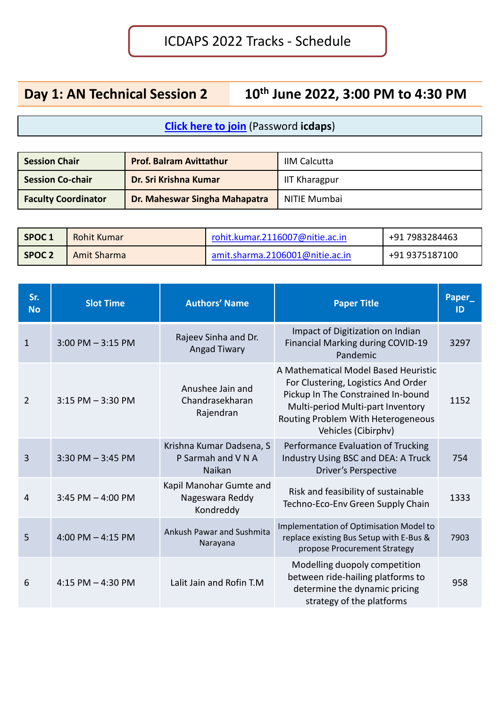# **Day 1: AN Technical Session 2 10th June 2022, 3:00 PM to 4:30 PM**

| <b>Session Chair</b>       | <b>Prof. Balram Avittathur</b> | <b>IIM Calcutta</b>  |
|----------------------------|--------------------------------|----------------------|
| <b>Session Co-chair</b>    | Dr. Sri Krishna Kumar          | <b>IIT Kharagpur</b> |
| <b>Faculty Coordinator</b> | Dr. Maheswar Singha Mahapatra  | NITIE Mumbai         |

| SPOC 1            | Rohit Kumar | rohit.kumar.2116007@nitie.ac.in | +91 7983284463 |
|-------------------|-------------|---------------------------------|----------------|
| SPOC <sub>2</sub> | Amit Sharma | amit.sharma.2106001@nitie.ac.in | +91 9375187100 |

| Sr.<br><b>No</b> | <b>Slot Time</b>      | <b>Authors' Name</b>                                            | <b>Paper Title</b>                                                                                                                                                                                                  | Paper<br>ID |
|------------------|-----------------------|-----------------------------------------------------------------|---------------------------------------------------------------------------------------------------------------------------------------------------------------------------------------------------------------------|-------------|
| $\mathbf{1}$     | $3:00$ PM $-3:15$ PM  | Rajeev Sinha and Dr.<br><b>Angad Tiwary</b>                     | Impact of Digitization on Indian<br><b>Financial Marking during COVID-19</b><br>Pandemic                                                                                                                            | 3297        |
| 2                | $3:15$ PM $-3:30$ PM  | Anushee Jain and<br>Chandrasekharan<br>Rajendran                | A Mathematical Model Based Heuristic<br>For Clustering, Logistics And Order<br>Pickup In The Constrained In-bound<br>Multi-period Multi-part Inventory<br>Routing Problem With Heterogeneous<br>Vehicles (Cibirphv) | 1152        |
| $\overline{3}$   | $3:30$ PM $-3:45$ PM  | Krishna Kumar Dadsena, S<br>P Sarmah and V N A<br><b>Naikan</b> | Performance Evaluation of Trucking<br>Industry Using BSC and DEA: A Truck<br><b>Driver's Perspective</b>                                                                                                            | 754         |
| 4                | $3:45$ PM $-$ 4:00 PM | Kapil Manohar Gumte and<br>Nageswara Reddy<br>Kondreddy         | Risk and feasibility of sustainable<br>Techno-Eco-Env Green Supply Chain                                                                                                                                            | 1333        |
| 5                | 4:00 PM $-$ 4:15 PM   | <b>Ankush Pawar and Sushmita</b><br>Narayana                    | Implementation of Optimisation Model to<br>replace existing Bus Setup with E-Bus &<br>propose Procurement Strategy                                                                                                  | 7903        |
| 6                | 4:15 PM $-$ 4:30 PM   | Lalit Jain and Rofin T.M                                        | Modelling duopoly competition<br>between ride-hailing platforms to<br>determine the dynamic pricing<br>strategy of the platforms                                                                                    | 958         |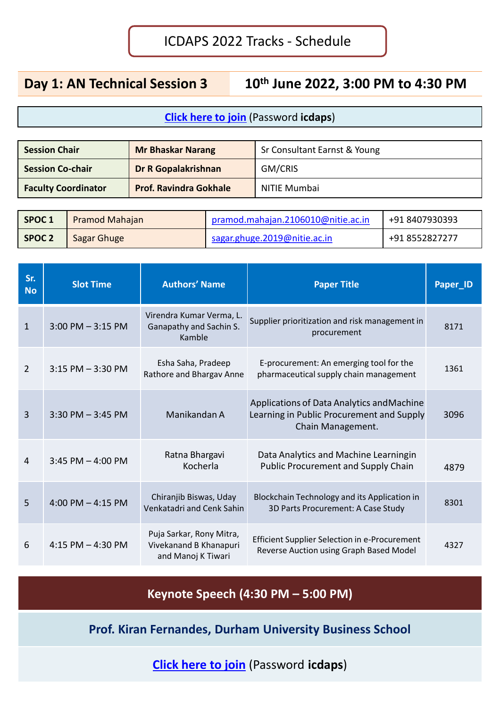**Day 1: AN Technical Session 3 10th June 2022, 3:00 PM to 4:30 PM**

#### **[Click here to join](https://nitie.webex.com/nitie/onstage/g.php?MTID=e2b1884dcfc23c926819c9ffc6799172b)** (Password **icdaps**)

| <b>Session Chair</b>       | <b>Mr Bhaskar Narang</b>      | Sr Consultant Earnst & Young |
|----------------------------|-------------------------------|------------------------------|
| <b>Session Co-chair</b>    | <b>Dr R Gopalakrishnan</b>    | GM/CRIS                      |
| <b>Faculty Coordinator</b> | <b>Prof. Ravindra Gokhale</b> | NITIE Mumbai                 |

| SPOC <sub>1</sub> | <b>Pramod Mahajan</b> | pramod.mahajan.2106010@nitie.ac.in | +91 8407930393 |
|-------------------|-----------------------|------------------------------------|----------------|
| <b>SPOC 2</b>     | Sagar Ghuge           | sagar.ghuge.2019@nitie.ac.in       | +91 8552827277 |

| Sr.<br><b>No</b> | <b>Slot Time</b>     | <b>Authors' Name</b>                                                     | <b>Paper Title</b>                                                                                           | Paper_ID |
|------------------|----------------------|--------------------------------------------------------------------------|--------------------------------------------------------------------------------------------------------------|----------|
| $\mathbf{1}$     | $3:00$ PM $-3:15$ PM | Virendra Kumar Verma, L.<br>Ganapathy and Sachin S.<br>Kamble            | Supplier prioritization and risk management in<br>procurement                                                | 8171     |
| $\overline{2}$   | $3:15$ PM $-3:30$ PM | Esha Saha, Pradeep<br>Rathore and Bhargav Anne                           | E-procurement: An emerging tool for the<br>pharmaceutical supply chain management                            | 1361     |
| $\overline{3}$   | $3:30$ PM $-3:45$ PM | Manikandan A                                                             | Applications of Data Analytics and Machine<br>Learning in Public Procurement and Supply<br>Chain Management. | 3096     |
| 4                | 3:45 PM $-$ 4:00 PM  | Ratna Bhargavi<br>Kocherla                                               | Data Analytics and Machine Learningin<br><b>Public Procurement and Supply Chain</b>                          | 4879     |
| 5                | 4:00 PM $-$ 4:15 PM  | Chiranjib Biswas, Uday<br>Venkatadri and Cenk Sahin                      | Blockchain Technology and its Application in<br>3D Parts Procurement: A Case Study                           | 8301     |
| 6                | 4:15 PM $-$ 4:30 PM  | Puja Sarkar, Rony Mitra,<br>Vivekanand B Khanapuri<br>and Manoj K Tiwari | Efficient Supplier Selection in e-Procurement<br>Reverse Auction using Graph Based Model                     | 4327     |

**Keynote Speech (4:30 PM – 5:00 PM)**

**Prof. Kiran Fernandes, Durham University Business School**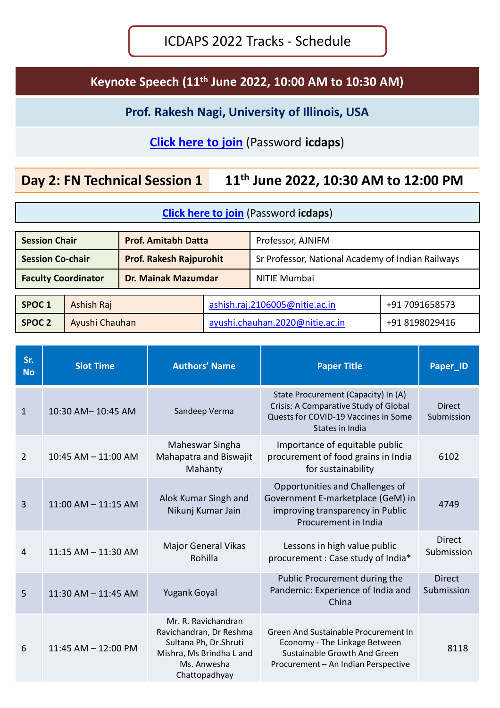### **Keynote Speech (11th June 2022, 10:00 AM to 10:30 AM)**

**Prof. Rakesh Nagi, University of Illinois, USA**

### **[Click here to join](https://nitie.webex.com/nitie/onstage/g.php?MTID=e8aeb4157aed5c32f36919123b7b9cc7f)** (Password **icdaps**)

## **Day 2: FN Technical Session 1 11th June 2022, 10:30 AM to 12:00 PM**

| <b>Session Chair</b>       |                | <b>Prof. Amitabh Datta</b>     |                                 | Professor, AJNIFM                                 |                |
|----------------------------|----------------|--------------------------------|---------------------------------|---------------------------------------------------|----------------|
| <b>Session Co-chair</b>    |                | <b>Prof. Rakesh Rajpurohit</b> |                                 | Sr Professor, National Academy of Indian Railways |                |
| <b>Faculty Coordinator</b> |                | <b>Dr. Mainak Mazumdar</b>     |                                 | <b>NITIE Mumbai</b>                               |                |
|                            |                |                                |                                 |                                                   |                |
| SPOC <sub>1</sub>          | Ashish Raj     |                                |                                 | ashish.raj.2106005@nitie.ac.in                    | +91 7091658573 |
| <b>SPOC 2</b>              | Ayushi Chauhan |                                | ayushi.chauhan.2020@nitie.ac.in | +91 8198029416                                    |                |

| Sr.<br><b>No</b> | <b>Slot Time</b>        | <b>Authors' Name</b>                                                                                                                | <b>Paper Title</b>                                                                                                                           | Paper_ID                    |
|------------------|-------------------------|-------------------------------------------------------------------------------------------------------------------------------------|----------------------------------------------------------------------------------------------------------------------------------------------|-----------------------------|
| $\mathbf{1}$     | 10:30 AM-10:45 AM       | Sandeep Verma                                                                                                                       | State Procurement (Capacity) In (A)<br>Crisis: A Comparative Study of Global<br>Quests for COVID-19 Vaccines in Some<br>States in India      | <b>Direct</b><br>Submission |
| $\overline{2}$   | 10:45 AM - 11:00 AM     | Maheswar Singha<br>Mahapatra and Biswajit<br>Mahanty                                                                                | Importance of equitable public<br>procurement of food grains in India<br>for sustainability                                                  | 6102                        |
| $\overline{3}$   | $11:00$ AM $- 11:15$ AM | Alok Kumar Singh and<br>Nikunj Kumar Jain                                                                                           | Opportunities and Challenges of<br>Government E-marketplace (GeM) in<br>improving transparency in Public<br>Procurement in India             | 4749                        |
| 4                | $11:15$ AM $- 11:30$ AM | <b>Major General Vikas</b><br>Rohilla                                                                                               | Lessons in high value public<br>procurement : Case study of India*                                                                           | <b>Direct</b><br>Submission |
| 5                | $11:30$ AM $- 11:45$ AM | <b>Yugank Goyal</b>                                                                                                                 | Public Procurement during the<br>Pandemic: Experience of India and<br>China                                                                  | <b>Direct</b><br>Submission |
| 6                | 11:45 AM - 12:00 PM     | Mr. R. Ravichandran<br>Ravichandran, Dr Reshma<br>Sultana Ph, Dr.Shruti<br>Mishra, Ms Brindha L and<br>Ms. Anwesha<br>Chattopadhyay | Green And Sustainable Procurement In<br>Economy - The Linkage Between<br>Sustainable Growth And Green<br>Procurement - An Indian Perspective | 8118                        |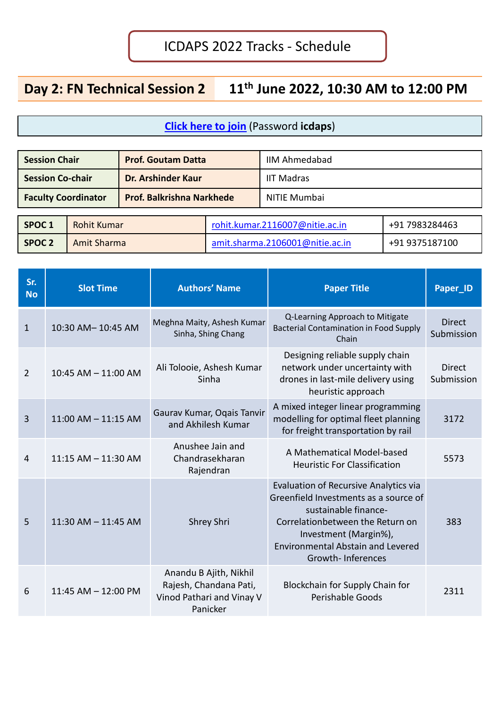# **Day 2: FN Technical Session 2 11th June 2022, 10:30 AM to 12:00 PM**

| <b>Session Chair</b>                    |  | <b>Prof. Goutam Datta</b>        |                                 | <b>IIM Ahmedabad</b> |  |  |
|-----------------------------------------|--|----------------------------------|---------------------------------|----------------------|--|--|
| <b>Session Co-chair</b>                 |  | Dr. Arshinder Kaur               |                                 | <b>IIT Madras</b>    |  |  |
| <b>Faculty Coordinator</b>              |  | <b>Prof. Balkrishna Narkhede</b> |                                 | <b>NITIE Mumbai</b>  |  |  |
|                                         |  |                                  |                                 |                      |  |  |
| SPOC <sub>1</sub><br><b>Rohit Kumar</b> |  |                                  | rohit.kumar.2116007@nitie.ac.in | +91 7983284463       |  |  |
| SPOC <sub>2</sub><br>Amit Sharma        |  |                                  | amit.sharma.2106001@nitie.ac.in | +91 9375187100       |  |  |

| Sr.<br><b>No</b> | <b>Slot Time</b>        | <b>Authors' Name</b>                                                                      | <b>Paper Title</b>                                                                                                                                                                                                                                 | <b>Paper_ID</b>             |
|------------------|-------------------------|-------------------------------------------------------------------------------------------|----------------------------------------------------------------------------------------------------------------------------------------------------------------------------------------------------------------------------------------------------|-----------------------------|
| $\mathbf{1}$     | 10:30 AM-10:45 AM       | Meghna Maity, Ashesh Kumar<br>Sinha, Shing Chang                                          | Q-Learning Approach to Mitigate<br><b>Bacterial Contamination in Food Supply</b><br>Chain                                                                                                                                                          | <b>Direct</b><br>Submission |
| $\overline{2}$   | 10:45 AM - 11:00 AM     | Ali Tolooie, Ashesh Kumar<br>Sinha                                                        | Designing reliable supply chain<br>network under uncertainty with<br>drones in last-mile delivery using<br>heuristic approach                                                                                                                      | <b>Direct</b><br>Submission |
| 3                | $11:00$ AM $- 11:15$ AM | Gaurav Kumar, Ogais Tanvir<br>and Akhilesh Kumar                                          | A mixed integer linear programming<br>modelling for optimal fleet planning<br>for freight transportation by rail                                                                                                                                   | 3172                        |
| 4                | $11:15$ AM $-11:30$ AM  | Anushee Jain and<br>Chandrasekharan<br>Rajendran                                          | A Mathematical Model-based<br><b>Heuristic For Classification</b>                                                                                                                                                                                  | 5573                        |
| 5                | $11:30$ AM $- 11:45$ AM | Shrey Shri                                                                                | <b>Evaluation of Recursive Analytics via</b><br>Greenfield Investments as a source of<br>sustainable finance-<br>Correlationbetween the Return on<br>Investment (Margin%),<br><b>Environmental Abstain and Levered</b><br><b>Growth-Inferences</b> | 383                         |
| 6                | 11:45 AM - 12:00 PM     | Anandu B Ajith, Nikhil<br>Rajesh, Chandana Pati,<br>Vinod Pathari and Vinay V<br>Panicker | Blockchain for Supply Chain for<br><b>Perishable Goods</b>                                                                                                                                                                                         | 2311                        |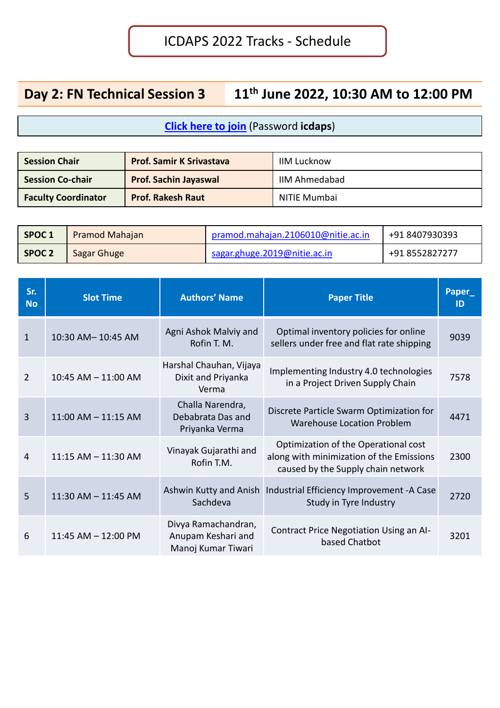# **Day 2: FN Technical Session 3 11th June 2022, 10:30 AM to 12:00 PM**

| <b>Session Chair</b>       | <b>Prof. Samir K Srivastava</b> | <b>IIM Lucknow</b>   |
|----------------------------|---------------------------------|----------------------|
| <b>Session Co-chair</b>    | <b>Prof. Sachin Jayaswal</b>    | <b>IIM Ahmedabad</b> |
| <b>Faculty Coordinator</b> | <b>Prof. Rakesh Raut</b>        | NITIE Mumbai         |

| SPOC <sub>1</sub> | Pramod Mahajan | pramod.mahajan.2106010@nitie.ac.in | +91 8407930393 |
|-------------------|----------------|------------------------------------|----------------|
| <b>SPOC 2</b>     | Sagar Ghuge    | sagar.ghuge.2019@nitie.ac.in       | +91 8552827277 |

| Sr.<br><b>No</b> | <b>Slot Time</b>        | <b>Authors' Name</b>                                            | <b>Paper Title</b>                                                                                                     | <b>Paper</b><br>ID |
|------------------|-------------------------|-----------------------------------------------------------------|------------------------------------------------------------------------------------------------------------------------|--------------------|
| $\mathbf{1}$     | 10:30 AM-10:45 AM       | Agni Ashok Malviy and<br>Rofin T. M.                            | Optimal inventory policies for online<br>sellers under free and flat rate shipping                                     | 9039               |
| $\overline{2}$   | 10:45 AM - 11:00 AM     | Harshal Chauhan, Vijaya<br>Dixit and Priyanka<br>Verma          | Implementing Industry 4.0 technologies<br>in a Project Driven Supply Chain                                             | 7578               |
| $\overline{3}$   | $11:00$ AM $- 11:15$ AM | Challa Narendra,<br>Debabrata Das and<br>Priyanka Verma         | Discrete Particle Swarm Optimization for<br><b>Warehouse Location Problem</b>                                          | 4471               |
| $\overline{4}$   | $11:15$ AM $- 11:30$ AM | Vinayak Gujarathi and<br>Rofin T.M.                             | Optimization of the Operational cost<br>along with minimization of the Emissions<br>caused by the Supply chain network | 2300               |
| 5                | $11:30$ AM $- 11:45$ AM | Sachdeva                                                        | Ashwin Kutty and Anish   Industrial Efficiency Improvement - A Case<br>Study in Tyre Industry                          | 2720               |
| 6                | $11:45$ AM $- 12:00$ PM | Divya Ramachandran,<br>Anupam Keshari and<br>Manoj Kumar Tiwari | Contract Price Negotiation Using an Al-<br>based Chatbot                                                               | 3201               |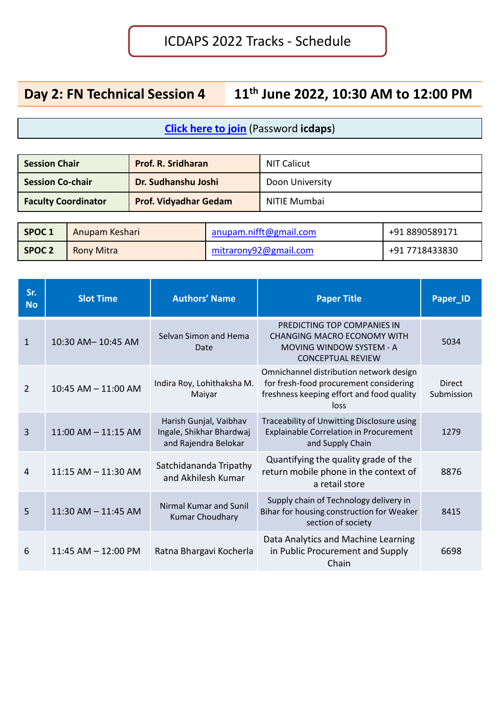## **Day 2: FN Technical Session 4 11th June 2022, 10:30 AM to 12:00 PM**

| <b>Session Chair</b>       | <b>Prof. R. Sridharan</b>    | <b>NIT Calicut</b> |
|----------------------------|------------------------------|--------------------|
| <b>Session Co-chair</b>    | Dr. Sudhanshu Joshi          | Doon University    |
| <b>Faculty Coordinator</b> | <b>Prof. Vidyadhar Gedam</b> | NITIE Mumbai       |

| SPOC <sub>1</sub> | Anupam Keshari | anupam.nifft@gmail.com | +91 8890589171 |
|-------------------|----------------|------------------------|----------------|
| SPOC <sub>2</sub> | Rony Mitra     | mitrarony92@gmail.com  | +91 7718433830 |

| Sr.<br><b>No</b> | <b>Slot Time</b>        | <b>Authors' Name</b>                                                       | <b>Paper Title</b>                                                                                                                     | Paper_ID                    |
|------------------|-------------------------|----------------------------------------------------------------------------|----------------------------------------------------------------------------------------------------------------------------------------|-----------------------------|
| $\mathbf{1}$     | 10:30 AM-10:45 AM       | Selvan Simon and Hema<br>Date                                              | PREDICTING TOP COMPANIES IN<br><b>CHANGING MACRO ECONOMY WITH</b><br><b>MOVING WINDOW SYSTEM - A</b><br><b>CONCEPTUAL REVIEW</b>       | 5034                        |
| $\overline{2}$   | $10:45$ AM $- 11:00$ AM | Indira Roy, Lohithaksha M.<br>Maiyar                                       | Omnichannel distribution network design<br>for fresh-food procurement considering<br>freshness keeping effort and food quality<br>loss | <b>Direct</b><br>Submission |
| $\overline{3}$   | $11:00$ AM $-11:15$ AM  | Harish Gunjal, Vaibhav<br>Ingale, Shikhar Bhardwaj<br>and Rajendra Belokar | Traceability of Unwitting Disclosure using<br><b>Explainable Correlation in Procurement</b><br>and Supply Chain                        | 1279                        |
| $\overline{4}$   | $11:15$ AM $- 11:30$ AM | Satchidananda Tripathy<br>and Akhilesh Kumar                               | Quantifying the quality grade of the<br>return mobile phone in the context of<br>a retail store                                        | 8876                        |
| 5                | $11:30$ AM $- 11:45$ AM | Nirmal Kumar and Sunil<br><b>Kumar Choudhary</b>                           | Supply chain of Technology delivery in<br>Bihar for housing construction for Weaker<br>section of society                              | 8415                        |
| 6                | $11:45$ AM $- 12:00$ PM | Ratna Bhargavi Kocherla                                                    | Data Analytics and Machine Learning<br>in Public Procurement and Supply<br>Chain                                                       | 6698                        |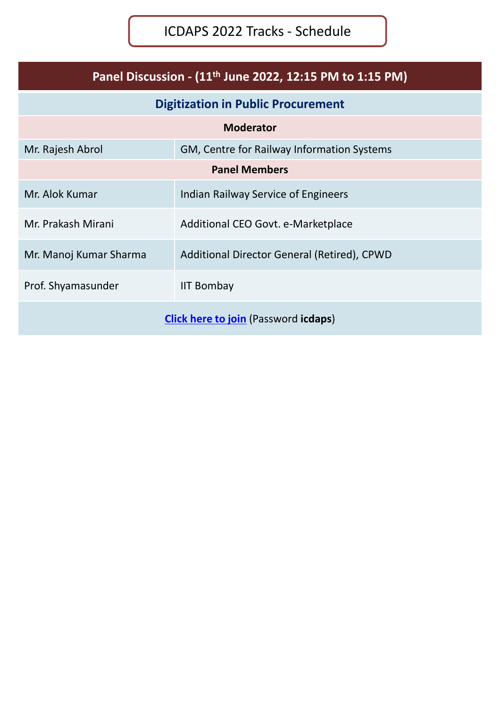| Panel Discussion - (11 <sup>th</sup> June 2022, 12:15 PM to 1:15 PM) |                                             |  |  |  |
|----------------------------------------------------------------------|---------------------------------------------|--|--|--|
|                                                                      | <b>Digitization in Public Procurement</b>   |  |  |  |
|                                                                      | <b>Moderator</b>                            |  |  |  |
| Mr. Rajesh Abrol                                                     | GM, Centre for Railway Information Systems  |  |  |  |
| <b>Panel Members</b>                                                 |                                             |  |  |  |
| Mr. Alok Kumar                                                       | Indian Railway Service of Engineers         |  |  |  |
| Mr. Prakash Mirani                                                   | Additional CEO Govt. e-Marketplace          |  |  |  |
| Mr. Manoj Kumar Sharma                                               | Additional Director General (Retired), CPWD |  |  |  |
| Prof. Shyamasunder<br><b>IIT Bombay</b>                              |                                             |  |  |  |
| <b>Click here to join</b> (Password <b>icdaps</b> )                  |                                             |  |  |  |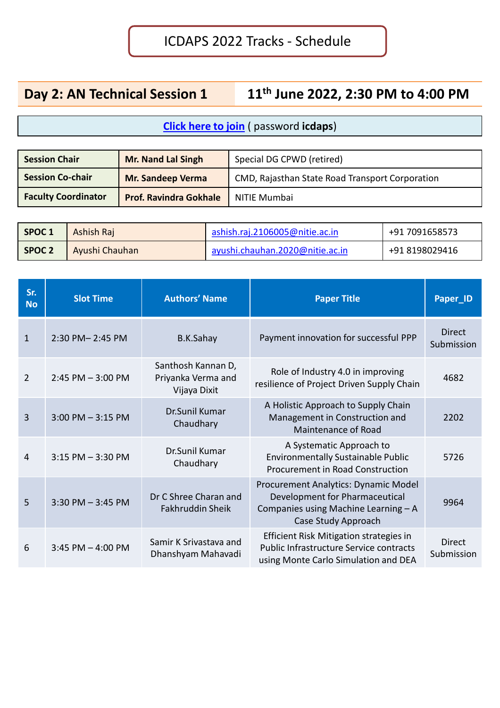# **Day 2: AN Technical Session 1 11th June 2022, 2:30 PM to 4:00 PM**

| <b>Session Chair</b>       | <b>Mr. Nand Lal Singh</b>     | Special DG CPWD (retired)                       |
|----------------------------|-------------------------------|-------------------------------------------------|
| <b>Session Co-chair</b>    | <b>Mr. Sandeep Verma</b>      | CMD, Rajasthan State Road Transport Corporation |
| <b>Faculty Coordinator</b> | <b>Prof. Ravindra Gokhale</b> | NITIE Mumbai                                    |

| SPOC <sub>1</sub> | Ashish Raj     | ashish.raj.2106005@nitie.ac.in  | +91 7091658573 |
|-------------------|----------------|---------------------------------|----------------|
| <b>SPOC 2</b>     | Ayushi Chauhan | ayushi.chauhan.2020@nitie.ac.in | +91 8198029416 |

| Sr.<br><b>No</b> | <b>Slot Time</b>     | <b>Authors' Name</b>                                     | <b>Paper Title</b>                                                                                                                    | Paper_ID                    |
|------------------|----------------------|----------------------------------------------------------|---------------------------------------------------------------------------------------------------------------------------------------|-----------------------------|
| $\mathbf{1}$     | 2:30 PM-2:45 PM      | B.K.Sahay                                                | Payment innovation for successful PPP                                                                                                 | <b>Direct</b><br>Submission |
| $\mathcal{P}$    | $2:45$ PM $-3:00$ PM | Santhosh Kannan D,<br>Priyanka Verma and<br>Vijaya Dixit | Role of Industry 4.0 in improving<br>resilience of Project Driven Supply Chain                                                        | 4682                        |
| 3                | $3:00$ PM $-3:15$ PM | Dr.Sunil Kumar<br>Chaudhary                              | A Holistic Approach to Supply Chain<br>Management in Construction and<br>Maintenance of Road                                          | 2202                        |
| 4                | $3:15$ PM $-3:30$ PM | Dr.Sunil Kumar<br>Chaudhary                              | A Systematic Approach to<br><b>Environmentally Sustainable Public</b><br><b>Procurement in Road Construction</b>                      | 5726                        |
| 5                | $3:30$ PM $-3:45$ PM | Dr C Shree Charan and<br>Fakhruddin Sheik                | Procurement Analytics: Dynamic Model<br>Development for Pharmaceutical<br>Companies using Machine Learning - A<br>Case Study Approach | 9964                        |
| 6                | 3:45 PM $-$ 4:00 PM  | Samir K Srivastava and<br>Dhanshyam Mahavadi             | Efficient Risk Mitigation strategies in<br>Public Infrastructure Service contracts<br>using Monte Carlo Simulation and DEA            | <b>Direct</b><br>Submission |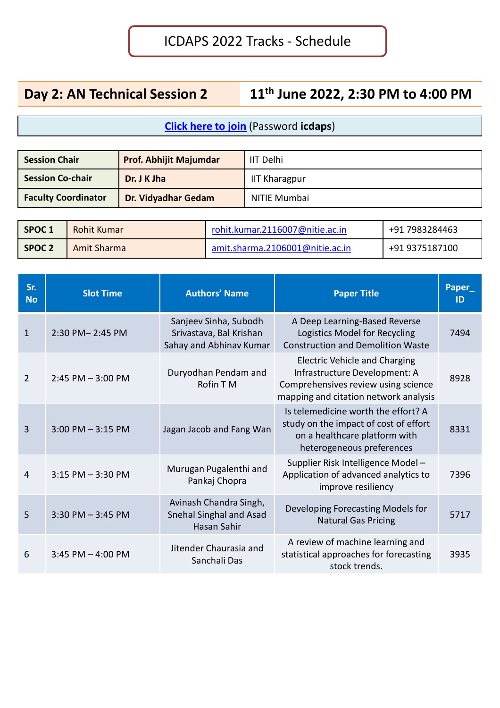# **Day 2: AN Technical Session 2 11th June 2022, 2:30 PM to 4:00 PM**

| <b>Session Chair</b>       | <b>Prof. Abhijit Majumdar</b> | <b>IIT Delhi</b> |
|----------------------------|-------------------------------|------------------|
| Session Co-chair           | Dr. J K Jha                   | IIT Kharagpur    |
| <b>Faculty Coordinator</b> | Dr. Vidyadhar Gedam           | NITIE Mumbai     |

| SPOC <sub>1</sub><br>Rohit Kumar |  | rohit.kumar.2116007@nitie.ac.in | +91 7983284463 |  |
|----------------------------------|--|---------------------------------|----------------|--|
| SPOC <sub>2</sub><br>Amit Sharma |  | amit.sharma.2106001@nitie.ac.in | +91 9375187100 |  |

| Sr.<br><b>No</b> | <b>Slot Time</b>      | <b>Authors' Name</b>                                                        | <b>Paper Title</b>                                                                                                                                    | Paper_<br>ID |
|------------------|-----------------------|-----------------------------------------------------------------------------|-------------------------------------------------------------------------------------------------------------------------------------------------------|--------------|
| $\mathbf{1}$     | 2:30 PM-2:45 PM       | Sanjeev Sinha, Subodh<br>Srivastava, Bal Krishan<br>Sahay and Abhinav Kumar | A Deep Learning-Based Reverse<br>Logistics Model for Recycling<br><b>Construction and Demolition Waste</b>                                            | 7494         |
| 2                | $2:45$ PM $-3:00$ PM  | Duryodhan Pendam and<br>Rofin T M                                           | <b>Electric Vehicle and Charging</b><br>Infrastructure Development: A<br>Comprehensives review using science<br>mapping and citation network analysis | 8928         |
| $\overline{3}$   | $3:00$ PM $-3:15$ PM  | Jagan Jacob and Fang Wan                                                    | Is telemedicine worth the effort? A<br>study on the impact of cost of effort<br>on a healthcare platform with<br>heterogeneous preferences            | 8331         |
| 4                | $3:15$ PM $-3:30$ PM  | Murugan Pugalenthi and<br>Pankaj Chopra                                     | Supplier Risk Intelligence Model-<br>Application of advanced analytics to<br>improve resiliency                                                       | 7396         |
| 5                | $3:30$ PM $-3:45$ PM  | Avinash Chandra Singh,<br>Snehal Singhal and Asad<br>Hasan Sahir            | Developing Forecasting Models for<br><b>Natural Gas Pricing</b>                                                                                       | 5717         |
| 6                | $3:45$ PM $- 4:00$ PM | Jitender Chaurasia and<br>Sanchali Das                                      | A review of machine learning and<br>statistical approaches for forecasting<br>stock trends.                                                           | 3935         |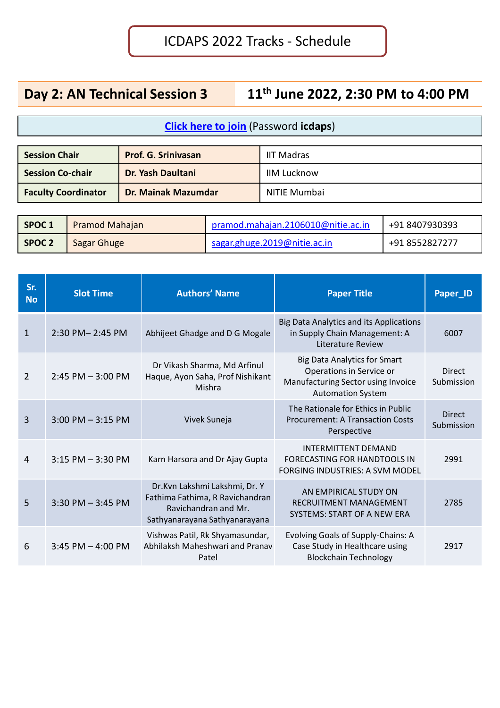# **Day 2: AN Technical Session 3 11th June 2022, 2:30 PM to 4:00 PM**

| <b>Session Chair</b>       | <b>Prof. G. Srinivasan</b> | <b>IIT Madras</b>  |
|----------------------------|----------------------------|--------------------|
| <b>Session Co-chair</b>    | Dr. Yash Daultani          | <b>IIM Lucknow</b> |
| <b>Faculty Coordinator</b> | <b>Dr. Mainak Mazumdar</b> | NITIE Mumbai       |

| SPOC 1            | Pramod Mahajan | pramod.mahajan.2106010@nitie.ac.in | +91 8407930393 |
|-------------------|----------------|------------------------------------|----------------|
| SPOC <sub>2</sub> | Sagar Ghuge    | sagar.ghuge.2019@nitie.ac.in       | +91 8552827277 |

| Sr.<br><b>No</b> | <b>Slot Time</b>      | <b>Authors' Name</b>                                                                                                      | <b>Paper Title</b>                                                                                                                | Paper_ID                    |
|------------------|-----------------------|---------------------------------------------------------------------------------------------------------------------------|-----------------------------------------------------------------------------------------------------------------------------------|-----------------------------|
| $\mathbf{1}$     | 2:30 PM-2:45 PM       | Abhijeet Ghadge and D G Mogale                                                                                            | <b>Big Data Analytics and its Applications</b><br>in Supply Chain Management: A<br>Literature Review                              | 6007                        |
| 2                | $2:45$ PM $-3:00$ PM  | Dr Vikash Sharma, Md Arfinul<br>Haque, Ayon Saha, Prof Nishikant<br>Mishra                                                | <b>Big Data Analytics for Smart</b><br>Operations in Service or<br>Manufacturing Sector using Invoice<br><b>Automation System</b> | <b>Direct</b><br>Submission |
| 3                | $3:00$ PM $-3:15$ PM  | Vivek Suneja                                                                                                              | The Rationale for Ethics in Public<br><b>Procurement: A Transaction Costs</b><br>Perspective                                      | <b>Direct</b><br>Submission |
| 4                | $3:15$ PM $-3:30$ PM  | Karn Harsora and Dr Ajay Gupta                                                                                            | <b>INTERMITTENT DEMAND</b><br>FORECASTING FOR HANDTOOLS IN<br><b>FORGING INDUSTRIES: A SVM MODEL</b>                              | 2991                        |
| 5                | $3:30$ PM $-3:45$ PM  | Dr.Kvn Lakshmi Lakshmi, Dr. Y<br>Fathima Fathima, R Ravichandran<br>Ravichandran and Mr.<br>Sathyanarayana Sathyanarayana | AN EMPIRICAL STUDY ON<br><b>RECRUITMENT MANAGEMENT</b><br>SYSTEMS: START OF A NEW ERA                                             | 2785                        |
| 6                | $3:45$ PM $- 4:00$ PM | Vishwas Patil, Rk Shyamasundar,<br>Abhilaksh Maheshwari and Pranav<br>Patel                                               | Evolving Goals of Supply-Chains: A<br>Case Study in Healthcare using<br><b>Blockchain Technology</b>                              | 2917                        |